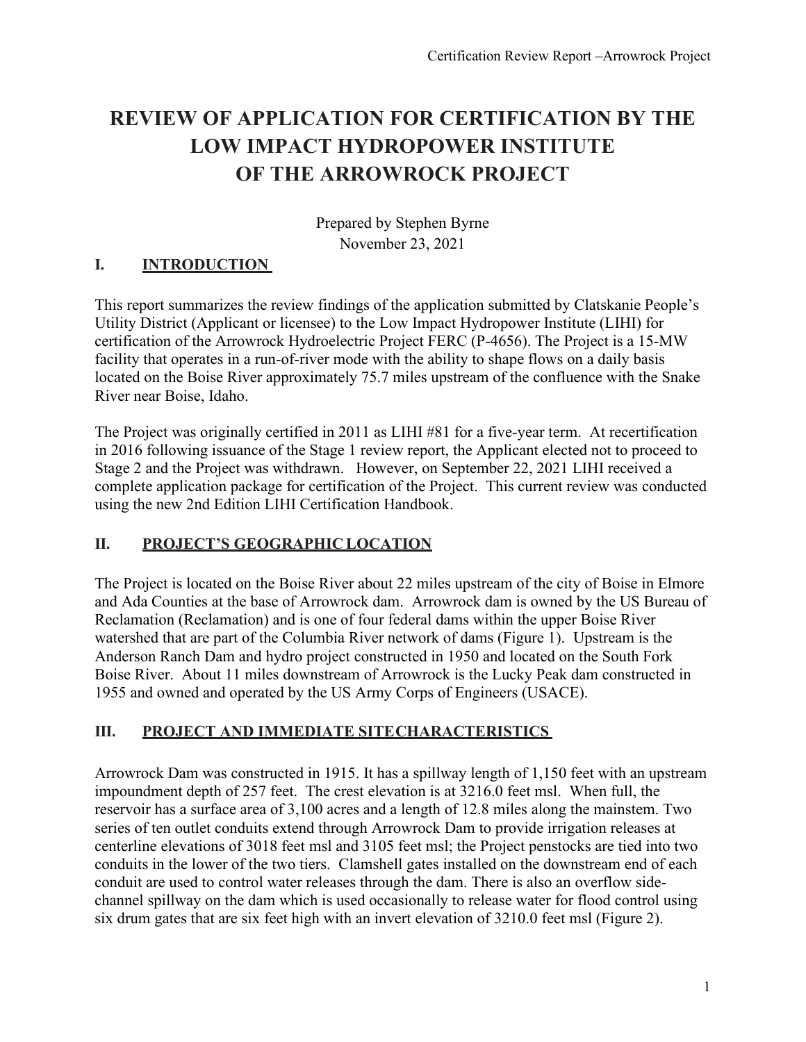# **REVIEW OF APPLICATION FOR CERTIFICATION BY THE LOW IMPACT HYDROPOWER INSTITUTE OF THE ARROWROCK PROJECT**

Prepared by Stephen Byrne November 23, 2021

# **I. INTRODUCTION**

This report summarizes the review findings of the application submitted by Clatskanie People's Utility District (Applicant or licensee) to the Low Impact Hydropower Institute (LIHI) for certification of the Arrowrock Hydroelectric Project FERC (P-4656). The Project is a 15-MW facility that operates in a run-of-river mode with the ability to shape flows on a daily basis located on the Boise River approximately 75.7 miles upstream of the confluence with the Snake River near Boise, Idaho.

The Project was originally certified in 2011 as LIHI #81 for a five-year term. At recertification in 2016 following issuance of the Stage 1 review report, the Applicant elected not to proceed to Stage 2 and the Project was withdrawn. However, on September 22, 2021 LIHI received a complete application package for certification of the Project. This current review was conducted using the new 2nd Edition LIHI Certification Handbook.

## **II. PROJECT'S GEOGRAPHIC LOCATION**

The Project is located on the Boise River about 22 miles upstream of the city of Boise in Elmore and Ada Counties at the base of Arrowrock dam. Arrowrock dam is owned by the US Bureau of Reclamation (Reclamation) and is one of four federal dams within the upper Boise River watershed that are part of the Columbia River network of dams (Figure 1). Upstream is the Anderson Ranch Dam and hydro project constructed in 1950 and located on the South Fork Boise River. About 11 miles downstream of Arrowrock is the Lucky Peak dam constructed in 1955 and owned and operated by the US Army Corps of Engineers (USACE).

# **III. PROJECT AND IMMEDIATE SITECHARACTERISTICS**

Arrowrock Dam was constructed in 1915. It has a spillway length of 1,150 feet with an upstream impoundment depth of 257 feet. The crest elevation is at 3216.0 feet msl. When full, the reservoir has a surface area of 3,100 acres and a length of 12.8 miles along the mainstem. Two series of ten outlet conduits extend through Arrowrock Dam to provide irrigation releases at centerline elevations of 3018 feet msl and 3105 feet msl; the Project penstocks are tied into two conduits in the lower of the two tiers. Clamshell gates installed on the downstream end of each conduit are used to control water releases through the dam. There is also an overflow sidechannel spillway on the dam which is used occasionally to release water for flood control using six drum gates that are six feet high with an invert elevation of 3210.0 feet msl (Figure 2).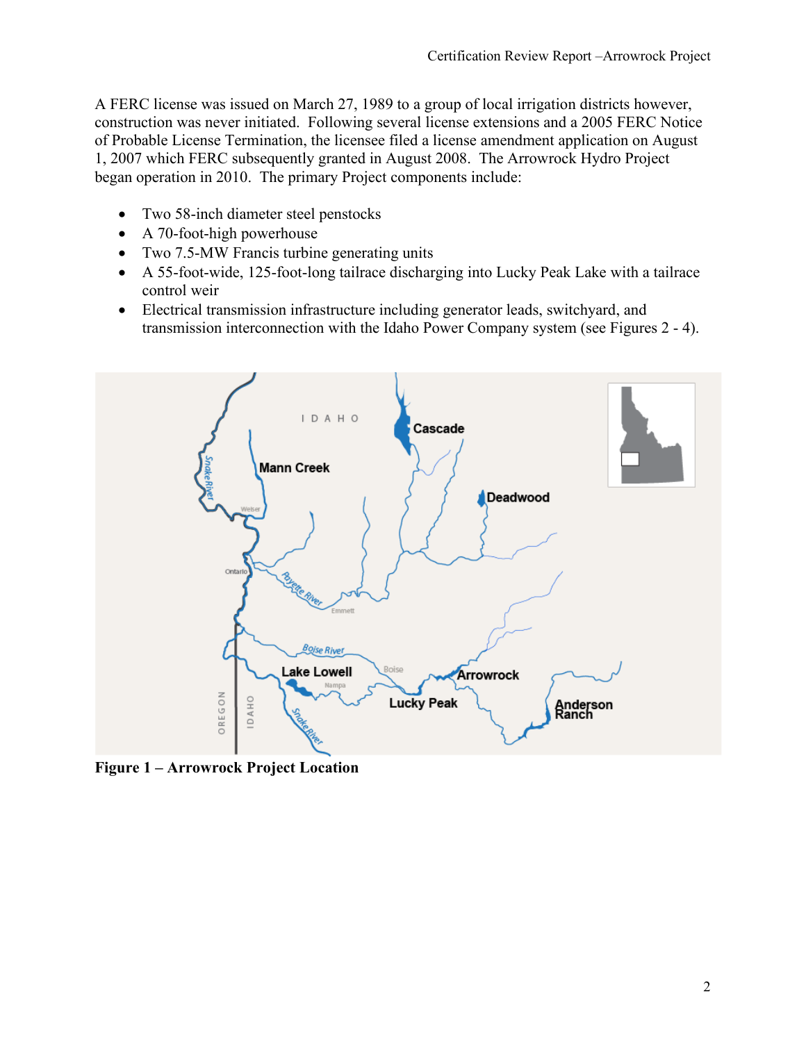A FERC license was issued on March 27, 1989 to a group of local irrigation districts however, construction was never initiated. Following several license extensions and a 2005 FERC Notice of Probable License Termination, the licensee filed a license amendment application on August 1, 2007 which FERC subsequently granted in August 2008. The Arrowrock Hydro Project began operation in 2010. The primary Project components include:

- Two 58-inch diameter steel penstocks
- A 70-foot-high powerhouse
- Two 7.5-MW Francis turbine generating units
- A 55-foot-wide, 125-foot-long tailrace discharging into Lucky Peak Lake with a tailrace control weir
- Electrical transmission infrastructure including generator leads, switchyard, and transmission interconnection with the Idaho Power Company system (see Figures 2 - 4).



**Figure 1 – Arrowrock Project Location**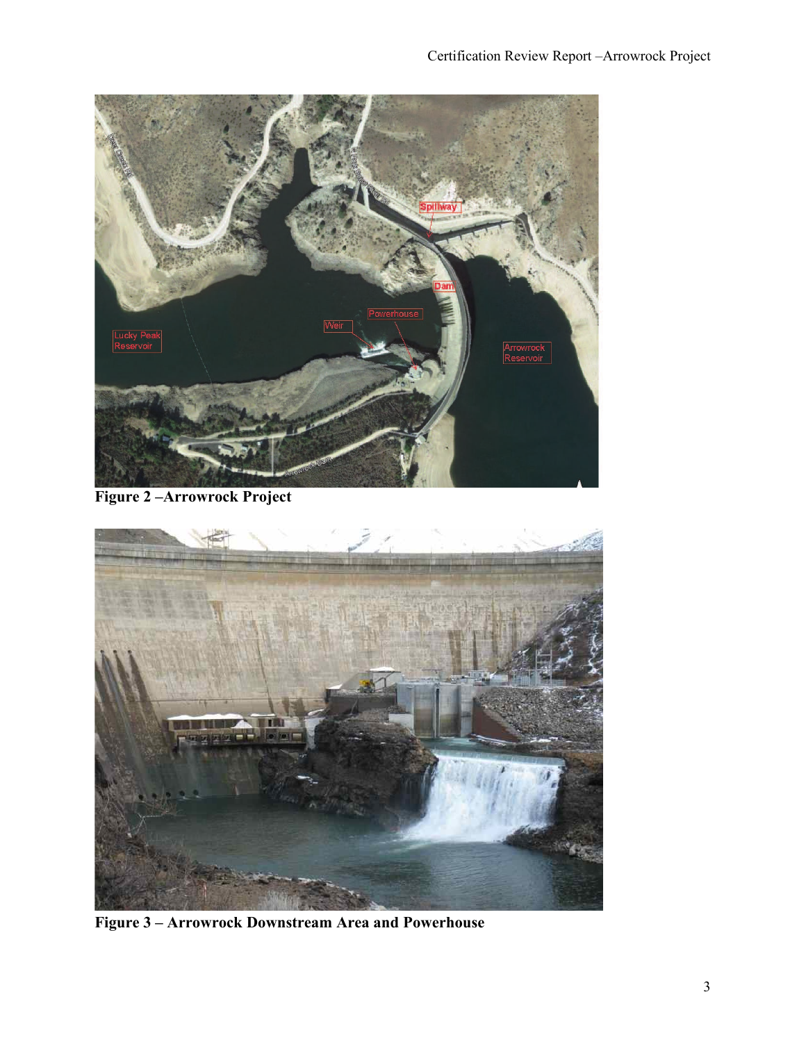

**Figure 2 –Arrowrock Project**



**Figure 3 – Arrowrock Downstream Area and Powerhouse**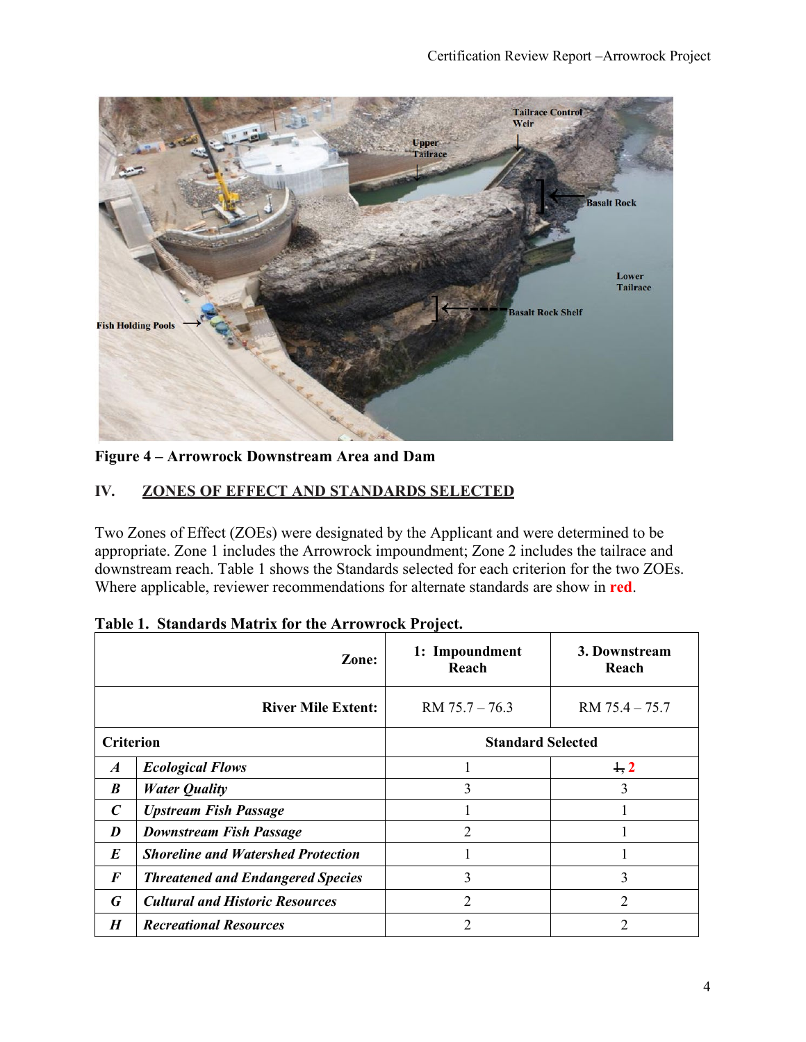

**Figure 4 – Arrowrock Downstream Area and Dam** 

## **IV. ZONES OF EFFECT AND STANDARDS SELECTED**

Two Zones of Effect (ZOEs) were designated by the Applicant and were determined to be appropriate. Zone 1 includes the Arrowrock impoundment; Zone 2 includes the tailrace and downstream reach. Table 1 shows the Standards selected for each criterion for the two ZOEs. Where applicable, reviewer recommendations for alternate standards are show in **red**.

|                  | Zone:                                     | 1: Impoundment<br>Reach  | 3. Downstream<br>Reach |
|------------------|-------------------------------------------|--------------------------|------------------------|
|                  | <b>River Mile Extent:</b>                 | $RM$ 75.7 – 76.3         | $RM$ 75.4 $-$ 75.7     |
| <b>Criterion</b> |                                           | <b>Standard Selected</b> |                        |
| $\boldsymbol{A}$ | <b>Ecological Flows</b>                   |                          | 1, 2                   |
| B                | <b>Water Quality</b>                      | 3                        | 3                      |
| C                | <b>Upstream Fish Passage</b>              |                          |                        |
| D                | <b>Downstream Fish Passage</b>            | 2                        |                        |
| $\bm{E}$         | <b>Shoreline and Watershed Protection</b> |                          |                        |
| $\bm{F}$         | <b>Threatened and Endangered Species</b>  | 3                        | 3                      |
| G                | <b>Cultural and Historic Resources</b>    | 2                        | $\mathfrak{D}$         |
| $\boldsymbol{H}$ | <b>Recreational Resources</b>             | $\overline{2}$           | 2                      |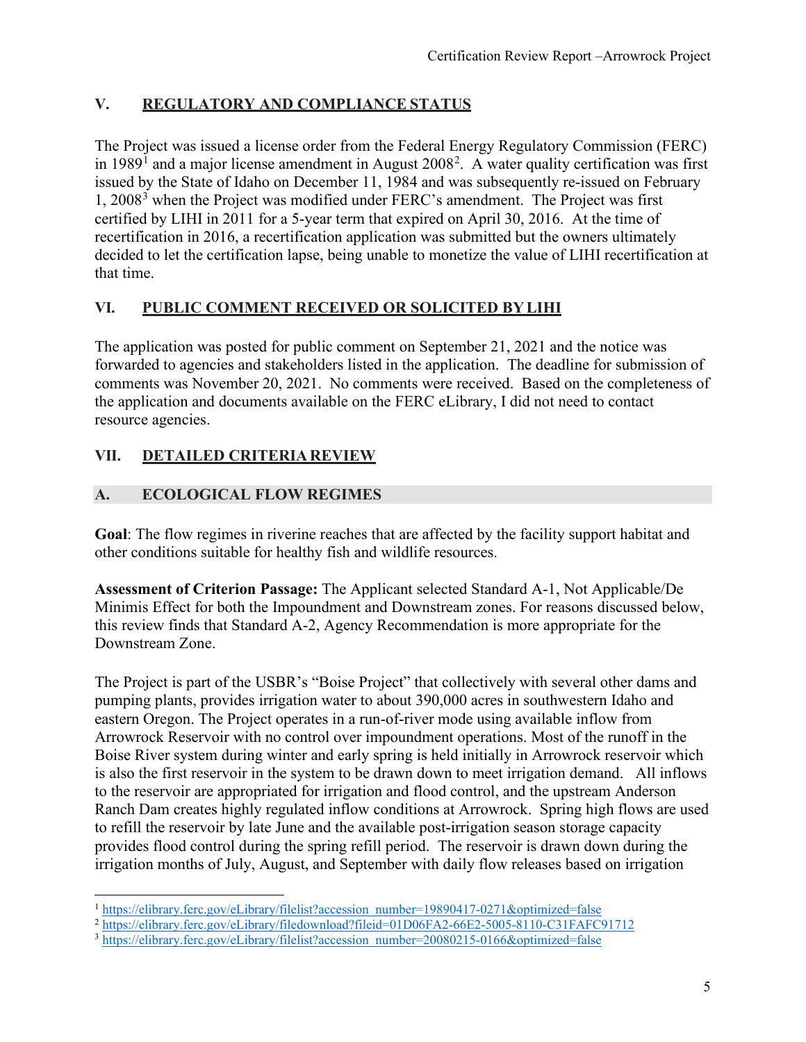## **V. REGULATORY AND COMPLIANCE STATUS**

The Project was issued a license order from the Federal Energy Regulatory Commission (FERC) in [1](#page-4-0)989<sup>1</sup> and a major license amendment in August [2](#page-4-1)008<sup>2</sup>. A water quality certification was first issued by the State of Idaho on December 11, 1984 and was subsequently re-issued on February 1, 2008[3](#page-4-2) when the Project was modified under FERC's amendment. The Project was first certified by LIHI in 2011 for a 5-year term that expired on April 30, 2016. At the time of recertification in 2016, a recertification application was submitted but the owners ultimately decided to let the certification lapse, being unable to monetize the value of LIHI recertification at that time.

#### **VI. PUBLIC COMMENT RECEIVED OR SOLICITED BYLIHI**

The application was posted for public comment on September 21, 2021 and the notice was forwarded to agencies and stakeholders listed in the application. The deadline for submission of comments was November 20, 2021. No comments were received. Based on the completeness of the application and documents available on the FERC eLibrary, I did not need to contact resource agencies.

## **VII. DETAILED CRITERIA REVIEW**

## **A. ECOLOGICAL FLOW REGIMES**

**Goal**: The flow regimes in riverine reaches that are affected by the facility support habitat and other conditions suitable for healthy fish and wildlife resources.

**Assessment of Criterion Passage:** The Applicant selected Standard A-1, Not Applicable/De Minimis Effect for both the Impoundment and Downstream zones. For reasons discussed below, this review finds that Standard A-2, Agency Recommendation is more appropriate for the Downstream Zone.

The Project is part of the USBR's "Boise Project" that collectively with several other dams and pumping plants, provides irrigation water to about 390,000 acres in southwestern Idaho and eastern Oregon. The Project operates in a run-of-river mode using available inflow from Arrowrock Reservoir with no control over impoundment operations. Most of the runoff in the Boise River system during winter and early spring is held initially in Arrowrock reservoir which is also the first reservoir in the system to be drawn down to meet irrigation demand. All inflows to the reservoir are appropriated for irrigation and flood control, and the upstream Anderson Ranch Dam creates highly regulated inflow conditions at Arrowrock. Spring high flows are used to refill the reservoir by late June and the available post-irrigation season storage capacity provides flood control during the spring refill period. The reservoir is drawn down during the irrigation months of July, August, and September with daily flow releases based on irrigation

<span id="page-4-0"></span><sup>&</sup>lt;sup>1</sup> [https://elibrary.ferc.gov/eLibrary/filelist?accession\\_number=19890417-0271&optimized=false](https://elibrary.ferc.gov/eLibrary/filelist?accession_number=19890417-0271&optimized=false)

<span id="page-4-1"></span><sup>2</sup> <https://elibrary.ferc.gov/eLibrary/filedownload?fileid=01D06FA2-66E2-5005-8110-C31FAFC91712>

<span id="page-4-2"></span><sup>3</sup> [https://elibrary.ferc.gov/eLibrary/filelist?accession\\_number=20080215-0166&optimized=false](https://elibrary.ferc.gov/eLibrary/filelist?accession_number=20080215-0166&optimized=false)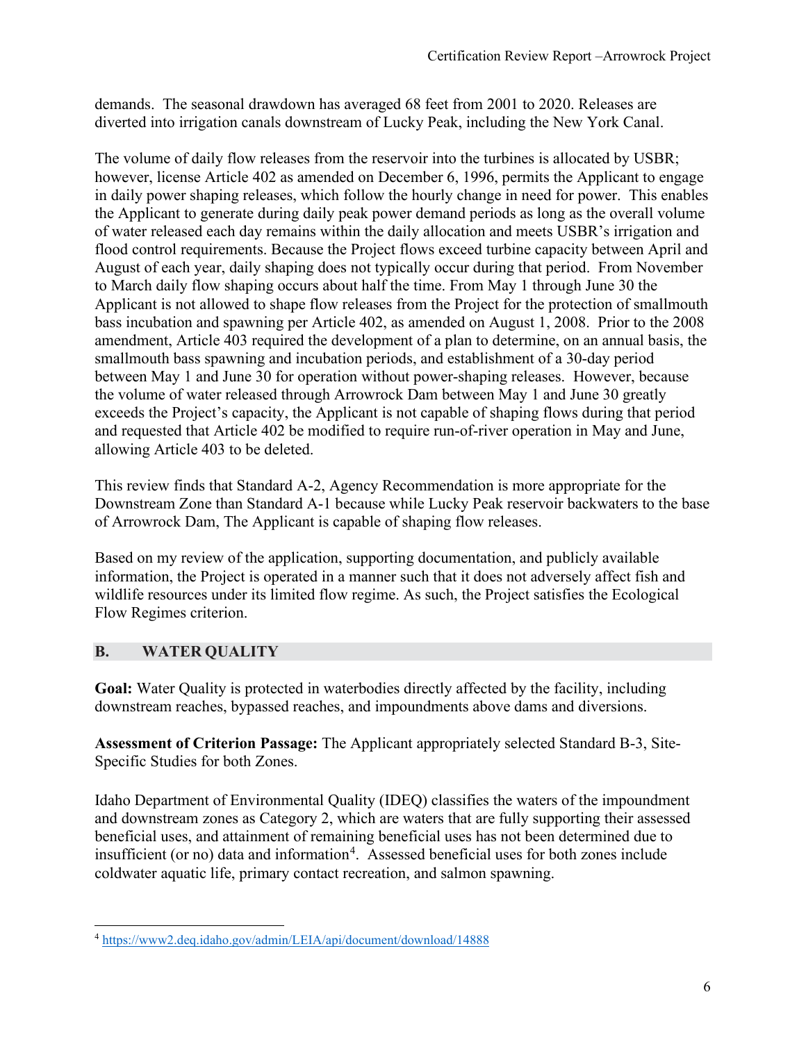demands. The seasonal drawdown has averaged 68 feet from 2001 to 2020. Releases are diverted into irrigation canals downstream of Lucky Peak, including the New York Canal.

The volume of daily flow releases from the reservoir into the turbines is allocated by USBR; however, license Article 402 as amended on December 6, 1996, permits the Applicant to engage in daily power shaping releases, which follow the hourly change in need for power. This enables the Applicant to generate during daily peak power demand periods as long as the overall volume of water released each day remains within the daily allocation and meets USBR's irrigation and flood control requirements. Because the Project flows exceed turbine capacity between April and August of each year, daily shaping does not typically occur during that period. From November to March daily flow shaping occurs about half the time. From May 1 through June 30 the Applicant is not allowed to shape flow releases from the Project for the protection of smallmouth bass incubation and spawning per Article 402, as amended on August 1, 2008. Prior to the 2008 amendment, Article 403 required the development of a plan to determine, on an annual basis, the smallmouth bass spawning and incubation periods, and establishment of a 30-day period between May 1 and June 30 for operation without power-shaping releases. However, because the volume of water released through Arrowrock Dam between May 1 and June 30 greatly exceeds the Project's capacity, the Applicant is not capable of shaping flows during that period and requested that Article 402 be modified to require run-of-river operation in May and June, allowing Article 403 to be deleted.

This review finds that Standard A-2, Agency Recommendation is more appropriate for the Downstream Zone than Standard A-1 because while Lucky Peak reservoir backwaters to the base of Arrowrock Dam, The Applicant is capable of shaping flow releases.

Based on my review of the application, supporting documentation, and publicly available information, the Project is operated in a manner such that it does not adversely affect fish and wildlife resources under its limited flow regime. As such, the Project satisfies the Ecological Flow Regimes criterion.

## **B. WATER QUALITY**

**Goal:** Water Quality is protected in waterbodies directly affected by the facility, including downstream reaches, bypassed reaches, and impoundments above dams and diversions.

**Assessment of Criterion Passage:** The Applicant appropriately selected Standard B-3, Site-Specific Studies for both Zones.

Idaho Department of Environmental Quality (IDEQ) classifies the waters of the impoundment and downstream zones as Category 2, which are waters that are fully supporting their assessed beneficial uses, and attainment of remaining beneficial uses has not been determined due to insufficient (or no) data and information<sup>[4](#page-5-0)</sup>. Assessed beneficial uses for both zones include coldwater aquatic life, primary contact recreation, and salmon spawning.

<span id="page-5-0"></span><sup>4</sup> <https://www2.deq.idaho.gov/admin/LEIA/api/document/download/14888>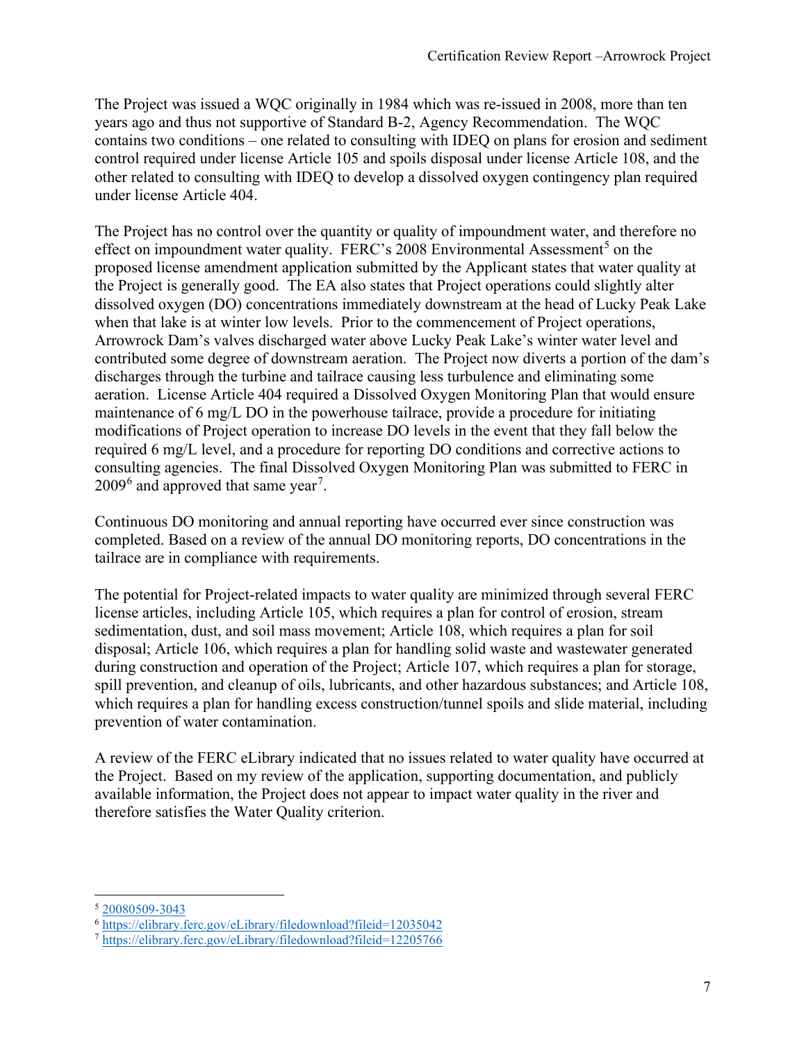The Project was issued a WQC originally in 1984 which was re-issued in 2008, more than ten years ago and thus not supportive of Standard B-2, Agency Recommendation. The WQC contains two conditions – one related to consulting with IDEQ on plans for erosion and sediment control required under license Article 105 and spoils disposal under license Article 108, and the other related to consulting with IDEQ to develop a dissolved oxygen contingency plan required under license Article 404.

The Project has no control over the quantity or quality of impoundment water, and therefore no effect on impoundment water quality. FERC's  $2008$  Environmental Assessment<sup>[5](#page-6-0)</sup> on the proposed license amendment application submitted by the Applicant states that water quality at the Project is generally good. The EA also states that Project operations could slightly alter dissolved oxygen (DO) concentrations immediately downstream at the head of Lucky Peak Lake when that lake is at winter low levels. Prior to the commencement of Project operations, Arrowrock Dam's valves discharged water above Lucky Peak Lake's winter water level and contributed some degree of downstream aeration. The Project now diverts a portion of the dam's discharges through the turbine and tailrace causing less turbulence and eliminating some aeration. License Article 404 required a Dissolved Oxygen Monitoring Plan that would ensure maintenance of 6 mg/L DO in the powerhouse tailrace, provide a procedure for initiating modifications of Project operation to increase DO levels in the event that they fall below the required 6 mg/L level, and a procedure for reporting DO conditions and corrective actions to consulting agencies. The final Dissolved Oxygen Monitoring Plan was submitted to FERC in  $2009<sup>6</sup>$  $2009<sup>6</sup>$  $2009<sup>6</sup>$  and approved that same year<sup>[7](#page-6-2)</sup>.

Continuous DO monitoring and annual reporting have occurred ever since construction was completed. Based on a review of the annual DO monitoring reports, DO concentrations in the tailrace are in compliance with requirements.

The potential for Project-related impacts to water quality are minimized through several FERC license articles, including Article 105, which requires a plan for control of erosion, stream sedimentation, dust, and soil mass movement; Article 108, which requires a plan for soil disposal; Article 106, which requires a plan for handling solid waste and wastewater generated during construction and operation of the Project; Article 107, which requires a plan for storage, spill prevention, and cleanup of oils, lubricants, and other hazardous substances; and Article 108, which requires a plan for handling excess construction/tunnel spoils and slide material, including prevention of water contamination.

A review of the FERC eLibrary indicated that no issues related to water quality have occurred at the Project. Based on my review of the application, supporting documentation, and publicly available information, the Project does not appear to impact water quality in the river and therefore satisfies the Water Quality criterion.

<span id="page-6-0"></span><sup>5</sup> [20080509-3043](https://elibrary.ferc.gov/eLibrary/filelist?accession_number=20080509-3043)

<span id="page-6-1"></span><sup>6</sup> <https://elibrary.ferc.gov/eLibrary/filedownload?fileid=12035042>

<span id="page-6-2"></span><sup>7</sup> <https://elibrary.ferc.gov/eLibrary/filedownload?fileid=12205766>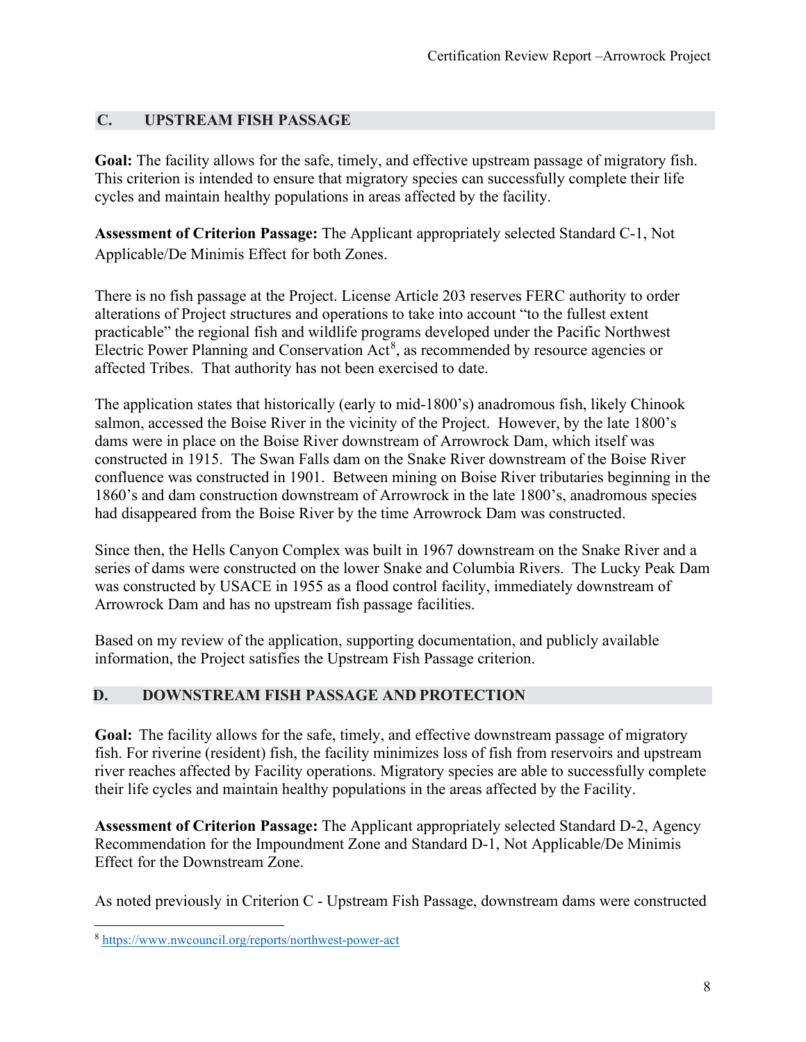#### **C. UPSTREAM FISH PASSAGE**

**Goal:** The facility allows for the safe, timely, and effective upstream passage of migratory fish. This criterion is intended to ensure that migratory species can successfully complete their life cycles and maintain healthy populations in areas affected by the facility.

**Assessment of Criterion Passage:** The Applicant appropriately selected Standard C-1, Not Applicable/De Minimis Effect for both Zones.

There is no fish passage at the Project. License Article 203 reserves FERC authority to order alterations of Project structures and operations to take into account "to the fullest extent practicable" the regional fish and wildlife programs developed under the Pacific Northwest Electric Power Planning and Conservation  $Act^8$  $Act^8$ , as recommended by resource agencies or affected Tribes. That authority has not been exercised to date.

The application states that historically (early to mid-1800's) anadromous fish, likely Chinook salmon, accessed the Boise River in the vicinity of the Project. However, by the late 1800's dams were in place on the Boise River downstream of Arrowrock Dam, which itself was constructed in 1915. The Swan Falls dam on the Snake River downstream of the Boise River confluence was constructed in 1901. Between mining on Boise River tributaries beginning in the 1860's and dam construction downstream of Arrowrock in the late 1800's, anadromous species had disappeared from the Boise River by the time Arrowrock Dam was constructed.

Since then, the Hells Canyon Complex was built in 1967 downstream on the Snake River and a series of dams were constructed on the lower Snake and Columbia Rivers. The Lucky Peak Dam was constructed by USACE in 1955 as a flood control facility, immediately downstream of Arrowrock Dam and has no upstream fish passage facilities.

Based on my review of the application, supporting documentation, and publicly available information, the Project satisfies the Upstream Fish Passage criterion.

#### **D. DOWNSTREAM FISH PASSAGE AND PROTECTION**

**Goal:** The facility allows for the safe, timely, and effective downstream passage of migratory fish. For riverine (resident) fish, the facility minimizes loss of fish from reservoirs and upstream river reaches affected by Facility operations. Migratory species are able to successfully complete their life cycles and maintain healthy populations in the areas affected by the Facility.

**Assessment of Criterion Passage:** The Applicant appropriately selected Standard D-2, Agency Recommendation for the Impoundment Zone and Standard D-1, Not Applicable/De Minimis Effect for the Downstream Zone.

As noted previously in Criterion C - Upstream Fish Passage, downstream dams were constructed

<span id="page-7-0"></span><sup>8</sup> <https://www.nwcouncil.org/reports/northwest-power-act>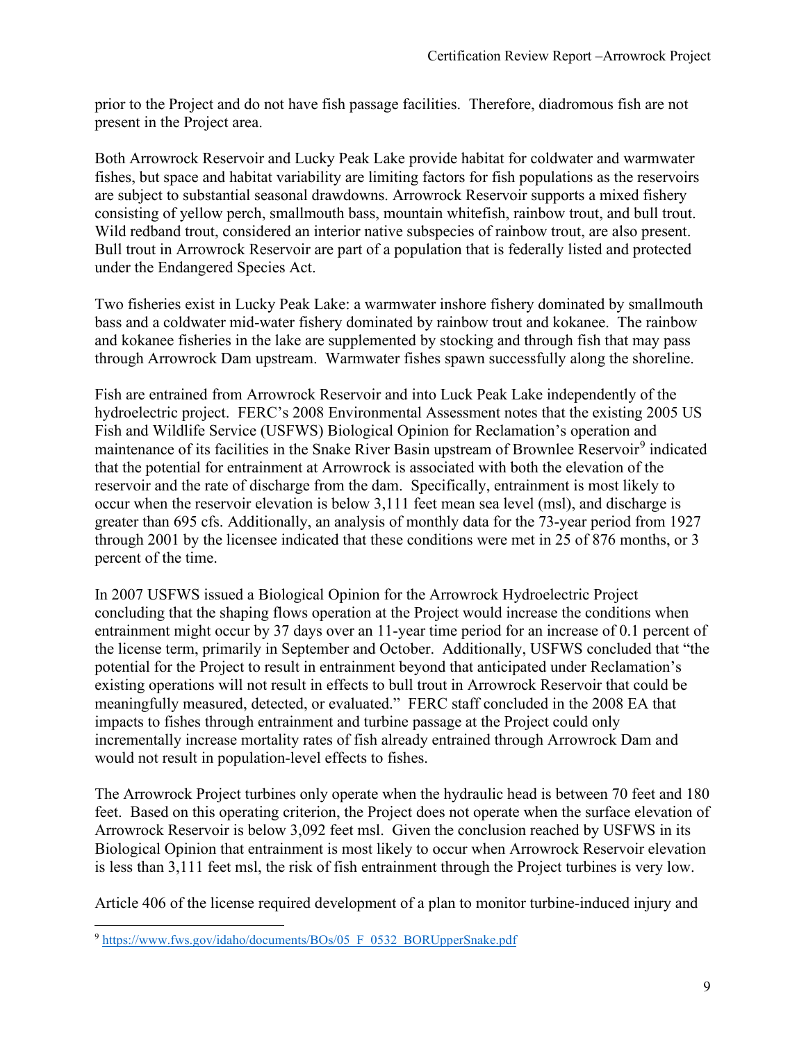prior to the Project and do not have fish passage facilities. Therefore, diadromous fish are not present in the Project area.

Both Arrowrock Reservoir and Lucky Peak Lake provide habitat for coldwater and warmwater fishes, but space and habitat variability are limiting factors for fish populations as the reservoirs are subject to substantial seasonal drawdowns. Arrowrock Reservoir supports a mixed fishery consisting of yellow perch, smallmouth bass, mountain whitefish, rainbow trout, and bull trout. Wild redband trout, considered an interior native subspecies of rainbow trout, are also present. Bull trout in Arrowrock Reservoir are part of a population that is federally listed and protected under the Endangered Species Act.

Two fisheries exist in Lucky Peak Lake: a warmwater inshore fishery dominated by smallmouth bass and a coldwater mid-water fishery dominated by rainbow trout and kokanee. The rainbow and kokanee fisheries in the lake are supplemented by stocking and through fish that may pass through Arrowrock Dam upstream. Warmwater fishes spawn successfully along the shoreline.

Fish are entrained from Arrowrock Reservoir and into Luck Peak Lake independently of the hydroelectric project. FERC's 2008 Environmental Assessment notes that the existing 2005 US Fish and Wildlife Service (USFWS) Biological Opinion for Reclamation's operation and maintenance of its facilities in the Snake River Basin upstream of Brownlee Reservoir<sup>[9](#page-8-0)</sup> indicated that the potential for entrainment at Arrowrock is associated with both the elevation of the reservoir and the rate of discharge from the dam. Specifically, entrainment is most likely to occur when the reservoir elevation is below 3,111 feet mean sea level (msl), and discharge is greater than 695 cfs. Additionally, an analysis of monthly data for the 73-year period from 1927 through 2001 by the licensee indicated that these conditions were met in 25 of 876 months, or 3 percent of the time.

In 2007 USFWS issued a Biological Opinion for the Arrowrock Hydroelectric Project concluding that the shaping flows operation at the Project would increase the conditions when entrainment might occur by 37 days over an 11-year time period for an increase of 0.1 percent of the license term, primarily in September and October. Additionally, USFWS concluded that "the potential for the Project to result in entrainment beyond that anticipated under Reclamation's existing operations will not result in effects to bull trout in Arrowrock Reservoir that could be meaningfully measured, detected, or evaluated." FERC staff concluded in the 2008 EA that impacts to fishes through entrainment and turbine passage at the Project could only incrementally increase mortality rates of fish already entrained through Arrowrock Dam and would not result in population-level effects to fishes.

The Arrowrock Project turbines only operate when the hydraulic head is between 70 feet and 180 feet. Based on this operating criterion, the Project does not operate when the surface elevation of Arrowrock Reservoir is below 3,092 feet msl. Given the conclusion reached by USFWS in its Biological Opinion that entrainment is most likely to occur when Arrowrock Reservoir elevation is less than 3,111 feet msl, the risk of fish entrainment through the Project turbines is very low.

Article 406 of the license required development of a plan to monitor turbine-induced injury and

<span id="page-8-0"></span><sup>&</sup>lt;sup>9</sup> [https://www.fws.gov/idaho/documents/BOs/05\\_F\\_0532\\_BORUpperSnake.pdf](https://www.fws.gov/idaho/documents/BOs/05_F_0532_BORUpperSnake.pdf)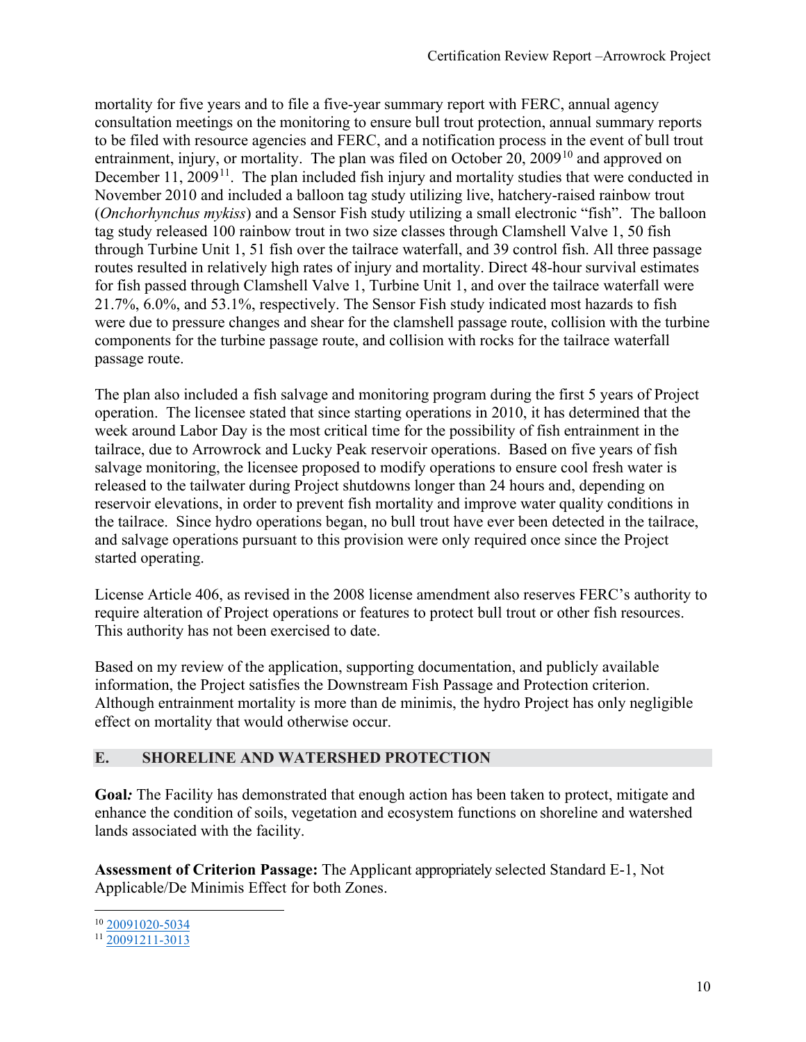mortality for five years and to file a five-year summary report with FERC, annual agency consultation meetings on the monitoring to ensure bull trout protection, annual summary reports to be filed with resource agencies and FERC, and a notification process in the event of bull trout entrainment, injury, or mortality. The plan was filed on October 20, 2009<sup>[10](#page-9-0)</sup> and approved on December 11,  $2009<sup>11</sup>$ . The plan included fish injury and mortality studies that were conducted in November 2010 and included a balloon tag study utilizing live, hatchery-raised rainbow trout (*Onchorhynchus mykiss*) and a Sensor Fish study utilizing a small electronic "fish". The balloon tag study released 100 rainbow trout in two size classes through Clamshell Valve 1, 50 fish through Turbine Unit 1, 51 fish over the tailrace waterfall, and 39 control fish. All three passage routes resulted in relatively high rates of injury and mortality. Direct 48-hour survival estimates for fish passed through Clamshell Valve 1, Turbine Unit 1, and over the tailrace waterfall were 21.7%, 6.0%, and 53.1%, respectively. The Sensor Fish study indicated most hazards to fish were due to pressure changes and shear for the clamshell passage route, collision with the turbine components for the turbine passage route, and collision with rocks for the tailrace waterfall passage route.

The plan also included a fish salvage and monitoring program during the first 5 years of Project operation. The licensee stated that since starting operations in 2010, it has determined that the week around Labor Day is the most critical time for the possibility of fish entrainment in the tailrace, due to Arrowrock and Lucky Peak reservoir operations. Based on five years of fish salvage monitoring, the licensee proposed to modify operations to ensure cool fresh water is released to the tailwater during Project shutdowns longer than 24 hours and, depending on reservoir elevations, in order to prevent fish mortality and improve water quality conditions in the tailrace. Since hydro operations began, no bull trout have ever been detected in the tailrace, and salvage operations pursuant to this provision were only required once since the Project started operating.

License Article 406, as revised in the 2008 license amendment also reserves FERC's authority to require alteration of Project operations or features to protect bull trout or other fish resources. This authority has not been exercised to date.

Based on my review of the application, supporting documentation, and publicly available information, the Project satisfies the Downstream Fish Passage and Protection criterion. Although entrainment mortality is more than de minimis, the hydro Project has only negligible effect on mortality that would otherwise occur.

#### **E. SHORELINE AND WATERSHED PROTECTION**

**Goal***:* The Facility has demonstrated that enough action has been taken to protect, mitigate and enhance the condition of soils, vegetation and ecosystem functions on shoreline and watershed lands associated with the facility.

**Assessment of Criterion Passage:** The Applicant appropriately selected Standard E-1, Not Applicable/De Minimis Effect for both Zones.

<span id="page-9-0"></span><sup>10</sup> [20091020-5034](https://elibrary.ferc.gov/eLibrary/filelist?accession_number=20091020-5034)

<span id="page-9-1"></span><sup>11</sup> [20091211-3013](https://elibrary.ferc.gov/eLibrary/filelist?accession_number=20091211-3013)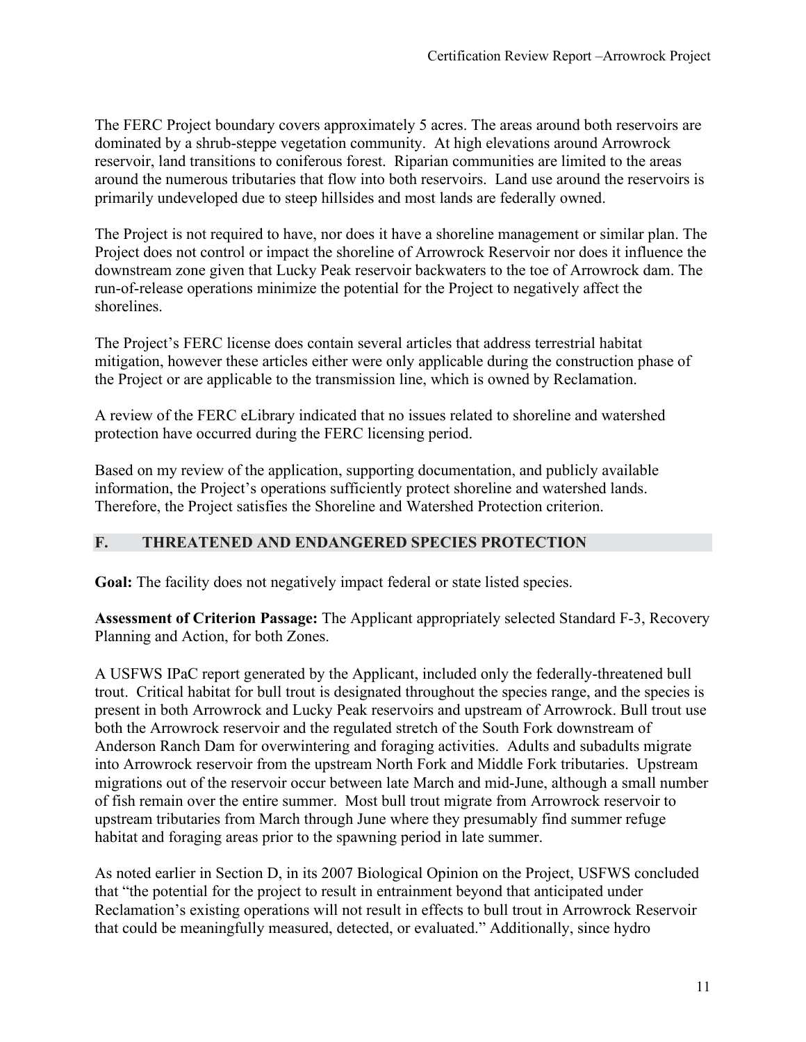The FERC Project boundary covers approximately 5 acres. The areas around both reservoirs are dominated by a shrub-steppe vegetation community. At high elevations around Arrowrock reservoir, land transitions to coniferous forest. Riparian communities are limited to the areas around the numerous tributaries that flow into both reservoirs. Land use around the reservoirs is primarily undeveloped due to steep hillsides and most lands are federally owned.

The Project is not required to have, nor does it have a shoreline management or similar plan. The Project does not control or impact the shoreline of Arrowrock Reservoir nor does it influence the downstream zone given that Lucky Peak reservoir backwaters to the toe of Arrowrock dam. The run-of-release operations minimize the potential for the Project to negatively affect the shorelines.

The Project's FERC license does contain several articles that address terrestrial habitat mitigation, however these articles either were only applicable during the construction phase of the Project or are applicable to the transmission line, which is owned by Reclamation.

A review of the FERC eLibrary indicated that no issues related to shoreline and watershed protection have occurred during the FERC licensing period.

Based on my review of the application, supporting documentation, and publicly available information, the Project's operations sufficiently protect shoreline and watershed lands. Therefore, the Project satisfies the Shoreline and Watershed Protection criterion.

#### **F. THREATENED AND ENDANGERED SPECIES PROTECTION**

Goal: The facility does not negatively impact federal or state listed species.

**Assessment of Criterion Passage:** The Applicant appropriately selected Standard F-3, Recovery Planning and Action, for both Zones.

A USFWS IPaC report generated by the Applicant, included only the federally-threatened bull trout. Critical habitat for bull trout is designated throughout the species range, and the species is present in both Arrowrock and Lucky Peak reservoirs and upstream of Arrowrock. Bull trout use both the Arrowrock reservoir and the regulated stretch of the South Fork downstream of Anderson Ranch Dam for overwintering and foraging activities. Adults and subadults migrate into Arrowrock reservoir from the upstream North Fork and Middle Fork tributaries. Upstream migrations out of the reservoir occur between late March and mid-June, although a small number of fish remain over the entire summer. Most bull trout migrate from Arrowrock reservoir to upstream tributaries from March through June where they presumably find summer refuge habitat and foraging areas prior to the spawning period in late summer.

As noted earlier in Section D, in its 2007 Biological Opinion on the Project, USFWS concluded that "the potential for the project to result in entrainment beyond that anticipated under Reclamation's existing operations will not result in effects to bull trout in Arrowrock Reservoir that could be meaningfully measured, detected, or evaluated." Additionally, since hydro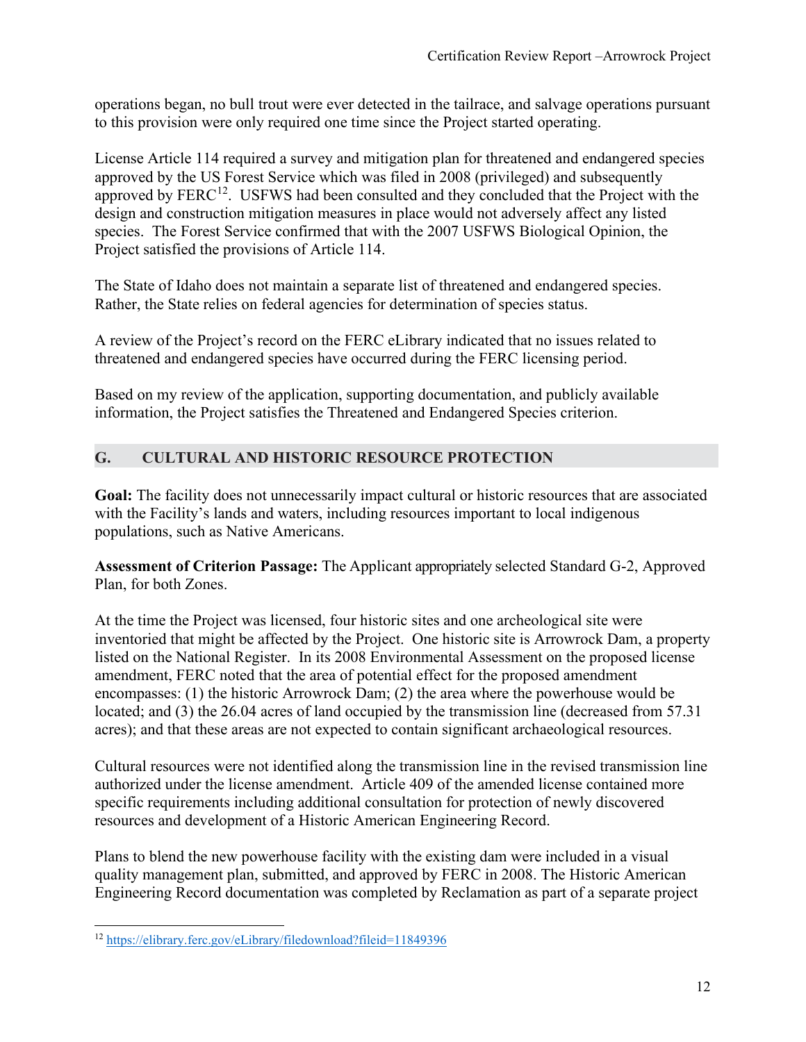operations began, no bull trout were ever detected in the tailrace, and salvage operations pursuant to this provision were only required one time since the Project started operating.

License Article 114 required a survey and mitigation plan for threatened and endangered species approved by the US Forest Service which was filed in 2008 (privileged) and subsequently approved by FERC<sup>[12](#page-11-0)</sup>. USFWS had been consulted and they concluded that the Project with the design and construction mitigation measures in place would not adversely affect any listed species. The Forest Service confirmed that with the 2007 USFWS Biological Opinion, the Project satisfied the provisions of Article 114.

The State of Idaho does not maintain a separate list of threatened and endangered species. Rather, the State relies on federal agencies for determination of species status.

A review of the Project's record on the FERC eLibrary indicated that no issues related to threatened and endangered species have occurred during the FERC licensing period.

Based on my review of the application, supporting documentation, and publicly available information, the Project satisfies the Threatened and Endangered Species criterion.

## **G. CULTURAL AND HISTORIC RESOURCE PROTECTION**

**Goal:** The facility does not unnecessarily impact cultural or historic resources that are associated with the Facility's lands and waters, including resources important to local indigenous populations, such as Native Americans.

**Assessment of Criterion Passage:** The Applicant appropriately selected Standard G-2, Approved Plan, for both Zones.

At the time the Project was licensed, four historic sites and one archeological site were inventoried that might be affected by the Project. One historic site is Arrowrock Dam, a property listed on the National Register. In its 2008 Environmental Assessment on the proposed license amendment, FERC noted that the area of potential effect for the proposed amendment encompasses: (1) the historic Arrowrock Dam; (2) the area where the powerhouse would be located; and (3) the 26.04 acres of land occupied by the transmission line (decreased from 57.31 acres); and that these areas are not expected to contain significant archaeological resources.

Cultural resources were not identified along the transmission line in the revised transmission line authorized under the license amendment. Article 409 of the amended license contained more specific requirements including additional consultation for protection of newly discovered resources and development of a Historic American Engineering Record.

Plans to blend the new powerhouse facility with the existing dam were included in a visual quality management plan, submitted, and approved by FERC in 2008. The Historic American Engineering Record documentation was completed by Reclamation as part of a separate project

<span id="page-11-0"></span><sup>12</sup> <https://elibrary.ferc.gov/eLibrary/filedownload?fileid=11849396>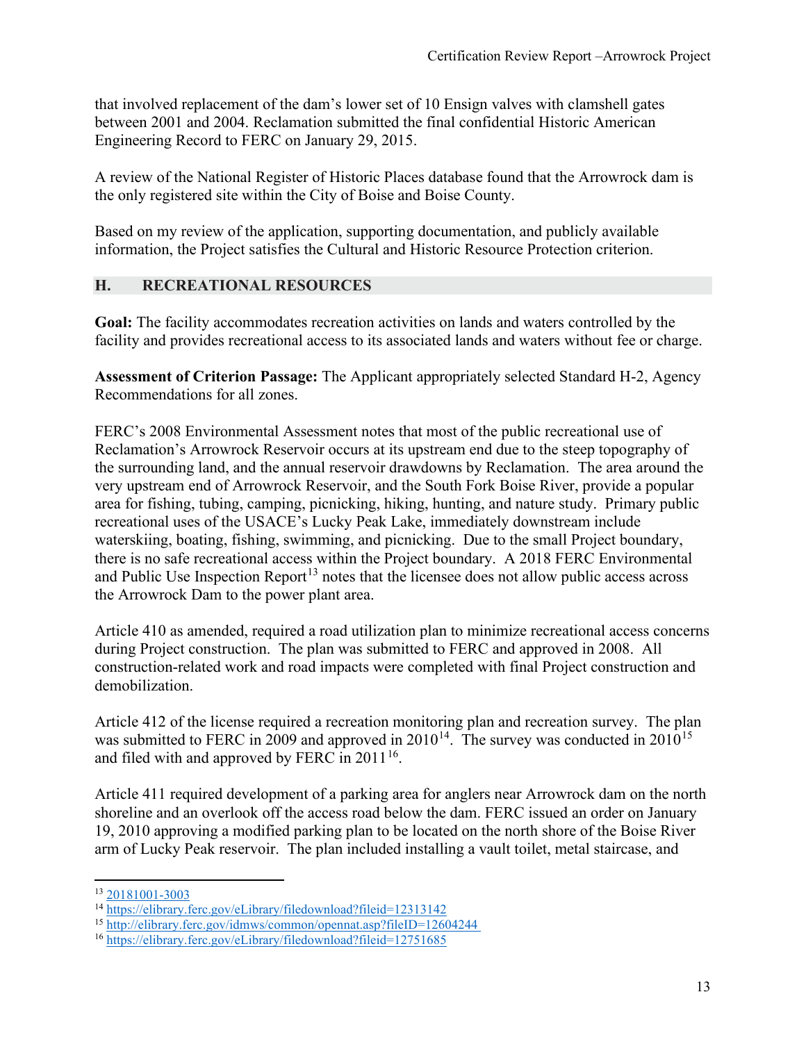that involved replacement of the dam's lower set of 10 Ensign valves with clamshell gates between 2001 and 2004. Reclamation submitted the final confidential Historic American Engineering Record to FERC on January 29, 2015.

A review of the National Register of Historic Places database found that the Arrowrock dam is the only registered site within the City of Boise and Boise County.

Based on my review of the application, supporting documentation, and publicly available information, the Project satisfies the Cultural and Historic Resource Protection criterion.

#### **H. RECREATIONAL RESOURCES**

**Goal:** The facility accommodates recreation activities on lands and waters controlled by the facility and provides recreational access to its associated lands and waters without fee or charge.

**Assessment of Criterion Passage:** The Applicant appropriately selected Standard H-2, Agency Recommendations for all zones.

FERC's 2008 Environmental Assessment notes that most of the public recreational use of Reclamation's Arrowrock Reservoir occurs at its upstream end due to the steep topography of the surrounding land, and the annual reservoir drawdowns by Reclamation. The area around the very upstream end of Arrowrock Reservoir, and the South Fork Boise River, provide a popular area for fishing, tubing, camping, picnicking, hiking, hunting, and nature study. Primary public recreational uses of the USACE's Lucky Peak Lake, immediately downstream include waterskiing, boating, fishing, swimming, and picnicking. Due to the small Project boundary, there is no safe recreational access within the Project boundary. A 2018 FERC Environmental and Public Use Inspection Report<sup>[13](#page-12-0)</sup> notes that the licensee does not allow public access across the Arrowrock Dam to the power plant area.

Article 410 as amended, required a road utilization plan to minimize recreational access concerns during Project construction. The plan was submitted to FERC and approved in 2008. All construction-related work and road impacts were completed with final Project construction and demobilization.

Article 412 of the license required a recreation monitoring plan and recreation survey. The plan was submitted to FERC in 2009 and approved in 2010<sup>14</sup>. The survey was conducted in 2010<sup>[15](#page-12-2)</sup> and filed with and approved by FERC in  $2011^{16}$ .

Article 411 required development of a parking area for anglers near Arrowrock dam on the north shoreline and an overlook off the access road below the dam. FERC issued an order on January 19, 2010 approving a modified parking plan to be located on the north shore of the Boise River arm of Lucky Peak reservoir. The plan included installing a vault toilet, metal staircase, and

<span id="page-12-0"></span><sup>13</sup> [20181001-3003](https://elibrary.ferc.gov/eLibrary/filelist?accession_number=20181001-3003)

<span id="page-12-1"></span><sup>14</sup> <https://elibrary.ferc.gov/eLibrary/filedownload?fileid=12313142>

<span id="page-12-2"></span><sup>15</sup> <http://elibrary.ferc.gov/idmws/common/opennat.asp?fileID=12604244>

<span id="page-12-3"></span><sup>16</sup> <https://elibrary.ferc.gov/eLibrary/filedownload?fileid=12751685>